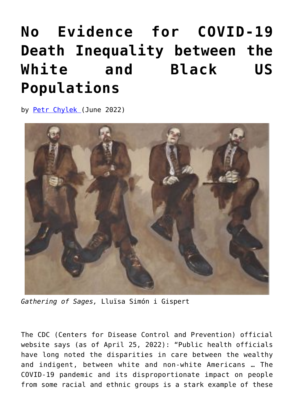## **[No Evidence for COVID-19](https://www.newenglishreview.org/articles/no-evidence-for-covid-19-death-inequality-between-the-white-and-black-us-populations/) [Death Inequality between the](https://www.newenglishreview.org/articles/no-evidence-for-covid-19-death-inequality-between-the-white-and-black-us-populations/) [White and Black US](https://www.newenglishreview.org/articles/no-evidence-for-covid-19-death-inequality-between-the-white-and-black-us-populations/) [Populations](https://www.newenglishreview.org/articles/no-evidence-for-covid-19-death-inequality-between-the-white-and-black-us-populations/)**

by [Petr Chylek](https://www.newenglishreview.org/authors/petr-chylek/) (June 2022)



*Gathering of Sages,* Lluïsa Simón i Gispert

The CDC (Centers for Disease Control and Prevention) official website says (as of April 25, 2022): "Public health officials have long noted the disparities in care between the wealthy and indigent, between white and non-white Americans … The COVID-19 pandemic and its disproportionate impact on people from some racial and ethnic groups is a stark example of these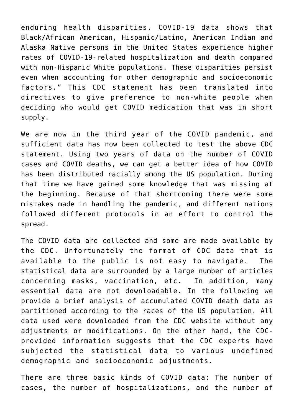enduring health disparities. COVID-19 data shows that Black/African American, Hispanic/Latino, American Indian and Alaska Native persons in the United States experience higher rates of COVID-19-related hospitalization and death compared with non-Hispanic White populations. These disparities persist even when accounting for other demographic and socioeconomic factors." This CDC statement has been translated into directives to give preference to non-white people when deciding who would get COVID medication that was in short supply.

We are now in the third year of the COVID pandemic, and sufficient data has now been collected to test the above CDC statement. Using two years of data on the number of COVID cases and COVID deaths, we can get a better idea of how COVID has been distributed racially among the US population. During that time we have gained some knowledge that was missing at the beginning. Because of that shortcoming there were some mistakes made in handling the pandemic, and different nations followed different protocols in an effort to control the spread.

The COVID data are collected and some are made available by the CDC. Unfortunately the format of CDC data that is available to the public is not easy to navigate. The statistical data are surrounded by a large number of articles concerning masks, vaccination, etc. In addition, many essential data are not downloadable. In the following we provide a brief analysis of accumulated COVID death data as partitioned according to the races of the US population. All data used were downloaded from the CDC website without any adjustments or modifications. On the other hand, the CDCprovided information suggests that the CDC experts have subjected the statistical data to various undefined demographic and socioeconomic adjustments.

There are three basic kinds of COVID data: The number of cases, the number of hospitalizations, and the number of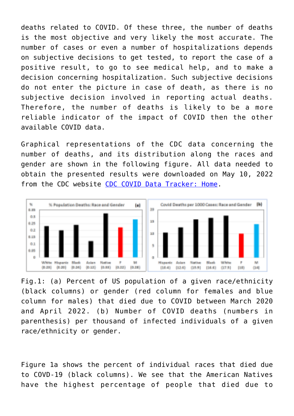deaths related to COVID. Of these three, the number of deaths is the most objective and very likely the most accurate. The number of cases or even a number of hospitalizations depends on subjective decisions to get tested, to report the case of a positive result, to go to see medical help, and to make a decision concerning hospitalization. Such subjective decisions do not enter the picture in case of death, as there is no subjective decision involved in reporting actual deaths. Therefore, the number of deaths is likely to be a more reliable indicator of the impact of COVID then the other available COVID data.

Graphical representations of the CDC data concerning the number of deaths, and its distribution along the races and gender are shown in the following figure. All data needed to obtain the presented results were downloaded on May 10, 2022 from the CDC website [CDC COVID Data Tracker: Home.](https://covid.cdc.gov/covid-data-tracker/#datatracker-home)



Fig.1: (a) Percent of US population of a given race/ethnicity (black columns) or gender (red column for females and blue column for males) that died due to COVID between March 2020 and April 2022. (b) Number of COVID deaths (numbers in parenthesis) per thousand of infected individuals of a given race/ethnicity or gender.

Figure 1a shows the percent of individual races that died due to COVD-19 (black columns). We see that the American Natives have the highest percentage of people that died due to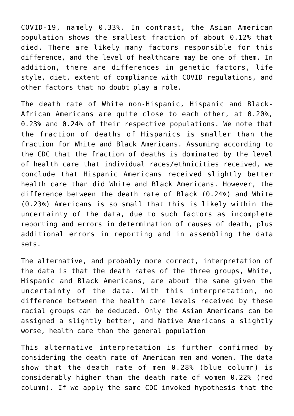COVID-19, namely 0.33%. In contrast, the Asian American population shows the smallest fraction of about 0.12% that died. There are likely many factors responsible for this difference, and the level of healthcare may be one of them. In addition, there are differences in genetic factors, life style, diet, extent of compliance with COVID regulations, and other factors that no doubt play a role.

The death rate of White non-Hispanic, Hispanic and Black-African Americans are quite close to each other, at 0.20%, 0.23% and 0.24% of their respective populations. We note that the fraction of deaths of Hispanics is smaller than the fraction for White and Black Americans. Assuming according to the CDC that the fraction of deaths is dominated by the level of health care that individual races/ethnicities received, we conclude that Hispanic Americans received slightly better health care than did White and Black Americans. However, the difference between the death rate of Black (0.24%) and White (0.23%) Americans is so small that this is likely within the uncertainty of the data, due to such factors as incomplete reporting and errors in determination of causes of death, plus additional errors in reporting and in assembling the data sets.

The alternative, and probably more correct, interpretation of the data is that the death rates of the three groups, White, Hispanic and Black Americans, are about the same given the uncertainty of the data. With this interpretation, no difference between the health care levels received by these racial groups can be deduced. Only the Asian Americans can be assigned a slightly better, and Native Americans a slightly worse, health care than the general population

This alternative interpretation is further confirmed by considering the death rate of American men and women. The data show that the death rate of men 0.28% (blue column) is considerably higher than the death rate of women 0.22% (red column). If we apply the same CDC invoked hypothesis that the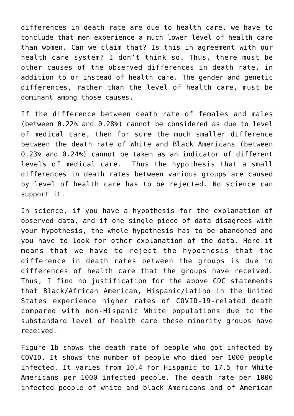differences in death rate are due to health care, we have to conclude that men experience a much lower level of health care than women. Can we claim that? Is this in agreement with our health care system? I don't think so. Thus, there must be other causes of the observed differences in death rate, in addition to or instead of health care. The gender and genetic differences, rather than the level of health care, must be dominant among those causes.

If the difference between death rate of females and males (between 0.22% and 0.28%) cannot be considered as due to level of medical care, then for sure the much smaller difference between the death rate of White and Black Americans (between 0.23% and 0.24%) cannot be taken as an indicator of different levels of medical care. Thus the hypothesis that a small differences in death rates between various groups are caused by level of health care has to be rejected. No science can support it.

In science, if you have a hypothesis for the explanation of observed data, and if one single piece of data disagrees with your hypothesis, the whole hypothesis has to be abandoned and you have to look for other explanation of the data. Here it means that we have to reject the hypothesis that the difference in death rates between the groups is due to differences of health care that the groups have received. Thus, I find no justification for the above CDC statements that Black/African American, Hispanic/Latino in the United States experience higher rates of COVID-19-related death compared with non-Hispanic White populations due to the substandard level of health care these minority groups have received.

Figure 1b shows the death rate of people who got infected by COVID. It shows the number of people who died per 1000 people infected. It varies from 10.4 for Hispanic to 17.5 for White Americans per 1000 infected people. The death rate per 1000 infected people of white and black Americans and of American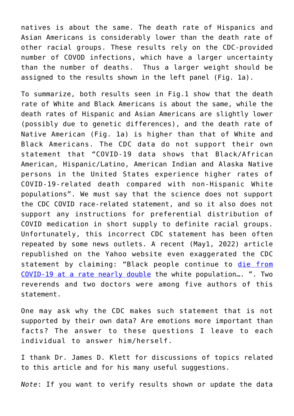natives is about the same. The death rate of Hispanics and Asian Americans is considerably lower than the death rate of other racial groups. These results rely on the CDC-provided number of COVOD infections, which have a larger uncertainty than the number of deaths. Thus a larger weight should be assigned to the results shown in the left panel (Fig. 1a).

To summarize, both results seen in Fig.1 show that the death rate of White and Black Americans is about the same, while the death rates of Hispanic and Asian Americans are slightly lower (possibly due to genetic differences), and the death rate of Native American (Fig. 1a) is higher than that of White and Black Americans. The CDC data do not support their own statement that "COVID-19 data shows that Black/African American, Hispanic/Latino, American Indian and Alaska Native persons in the United States experience higher rates of COVID-19-related death compared with non-Hispanic White populations". We must say that the science does not support the CDC COVID race-related statement, and so it also does not support any instructions for preferential distribution of COVID medication in short supply to definite racial groups. Unfortunately, this incorrect CDC statement has been often repeated by some news outlets. A recent (May1, 2022) article republished on the Yahoo website even exaggerated the CDC statement by claiming: "Black people continue to [die from](https://www.kff.org/coronavirus-covid-19/issue-brief/covid-19-cases-and-deaths-by-race-ethnicity-current-data-and-changes-over-time/) [COVID-19 at a rate nearly double](https://www.kff.org/coronavirus-covid-19/issue-brief/covid-19-cases-and-deaths-by-race-ethnicity-current-data-and-changes-over-time/) the white population…. ". Two reverends and two doctors were among five authors of this statement.

One may ask why the CDC makes such statement that is not supported by their own data? Are emotions more important than facts? The answer to these questions I leave to each individual to answer him/herself.

I thank Dr. James D. Klett for discussions of topics related to this article and for his many useful suggestions.

*Note*: If you want to verify results shown or update the data